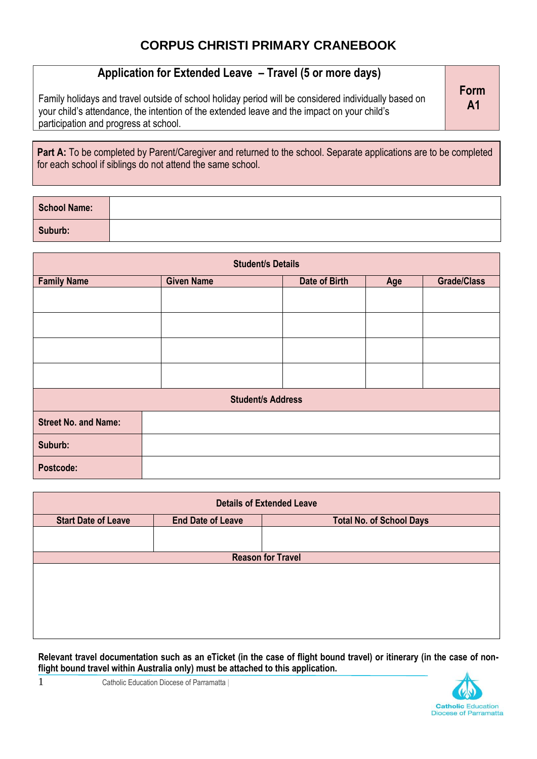# **CORPUS CHRISTI PRIMARY CRANEBOOK**

#### **Application for Extended Leave – Travel (5 or more days)**

Family holidays and travel outside of school holiday period will be considered individually based on your child's attendance, the intention of the extended leave and the impact on your child's participation and progress at school.

Part A: To be completed by Parent/Caregiver and returned to the school. Separate applications are to be completed for each school if siblings do not attend the same school.

| <b>School Name:</b> |  |
|---------------------|--|
| Suburb:             |  |

| <b>Student/s Details</b>    |                   |                      |     |                    |
|-----------------------------|-------------------|----------------------|-----|--------------------|
| <b>Family Name</b>          | <b>Given Name</b> | <b>Date of Birth</b> | Age | <b>Grade/Class</b> |
|                             |                   |                      |     |                    |
|                             |                   |                      |     |                    |
|                             |                   |                      |     |                    |
|                             |                   |                      |     |                    |
| <b>Student/s Address</b>    |                   |                      |     |                    |
| <b>Street No. and Name:</b> |                   |                      |     |                    |
| Suburb:                     |                   |                      |     |                    |
| Postcode:                   |                   |                      |     |                    |

| <b>Details of Extended Leave</b>                                                          |  |  |  |
|-------------------------------------------------------------------------------------------|--|--|--|
| <b>Start Date of Leave</b><br><b>End Date of Leave</b><br><b>Total No. of School Days</b> |  |  |  |
|                                                                                           |  |  |  |
|                                                                                           |  |  |  |
| <b>Reason for Travel</b>                                                                  |  |  |  |
|                                                                                           |  |  |  |
|                                                                                           |  |  |  |
|                                                                                           |  |  |  |
|                                                                                           |  |  |  |
|                                                                                           |  |  |  |
|                                                                                           |  |  |  |
|                                                                                           |  |  |  |

**Relevant travel documentation such as an eTicket (in the case of flight bound travel) or itinerary (in the case of nonflight bound travel within Australia only) must be attached to this application.**



**Form A1**

1 Catholic Education Diocese of Parramatta |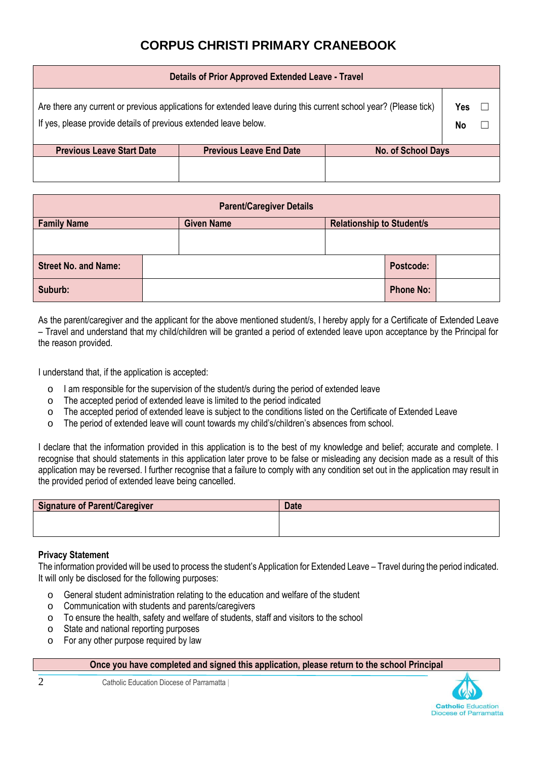# **CORPUS CHRISTI PRIMARY CRANEBOOK**

| <b>Details of Prior Approved Extended Leave - Travel</b>                                                                                                                             |                                |                           |  |  |
|--------------------------------------------------------------------------------------------------------------------------------------------------------------------------------------|--------------------------------|---------------------------|--|--|
| Are there any current or previous applications for extended leave during this current school year? (Please tick)<br>If yes, please provide details of previous extended leave below. |                                |                           |  |  |
| <b>Previous Leave Start Date</b>                                                                                                                                                     | <b>Previous Leave End Date</b> | <b>No. of School Days</b> |  |  |
|                                                                                                                                                                                      |                                |                           |  |  |

| <b>Parent/Caregiver Details</b> |  |                   |  |                                  |                  |  |
|---------------------------------|--|-------------------|--|----------------------------------|------------------|--|
| <b>Family Name</b>              |  | <b>Given Name</b> |  | <b>Relationship to Student/s</b> |                  |  |
|                                 |  |                   |  |                                  |                  |  |
| <b>Street No. and Name:</b>     |  |                   |  |                                  | Postcode:        |  |
| Suburb:                         |  |                   |  |                                  | <b>Phone No:</b> |  |

As the parent/caregiver and the applicant for the above mentioned student/s, I hereby apply for a Certificate of Extended Leave – Travel and understand that my child/children will be granted a period of extended leave upon acceptance by the Principal for the reason provided.

I understand that, if the application is accepted:

- o I am responsible for the supervision of the student/s during the period of extended leave
- o The accepted period of extended leave is limited to the period indicated
- o The accepted period of extended leave is subject to the conditions listed on the Certificate of Extended Leave
- o The period of extended leave will count towards my child's/children's absences from school.

I declare that the information provided in this application is to the best of my knowledge and belief; accurate and complete. I recognise that should statements in this application later prove to be false or misleading any decision made as a result of this application may be reversed. I further recognise that a failure to comply with any condition set out in the application may result in the provided period of extended leave being cancelled.

| Signature of Parent/Caregiver | <b>Date</b> |
|-------------------------------|-------------|
|                               |             |
|                               |             |

#### **Privacy Statement**

The information provided will be used to process the student's Application for Extended Leave – Travel during the period indicated. It will only be disclosed for the following purposes:

- o General student administration relating to the education and welfare of the student
- o Communication with students and parents/caregivers
- o To ensure the health, safety and welfare of students, staff and visitors to the school
- o State and national reporting purposes
- o For any other purpose required by law

**Once you have completed and signed this application, please return to the school Principal**